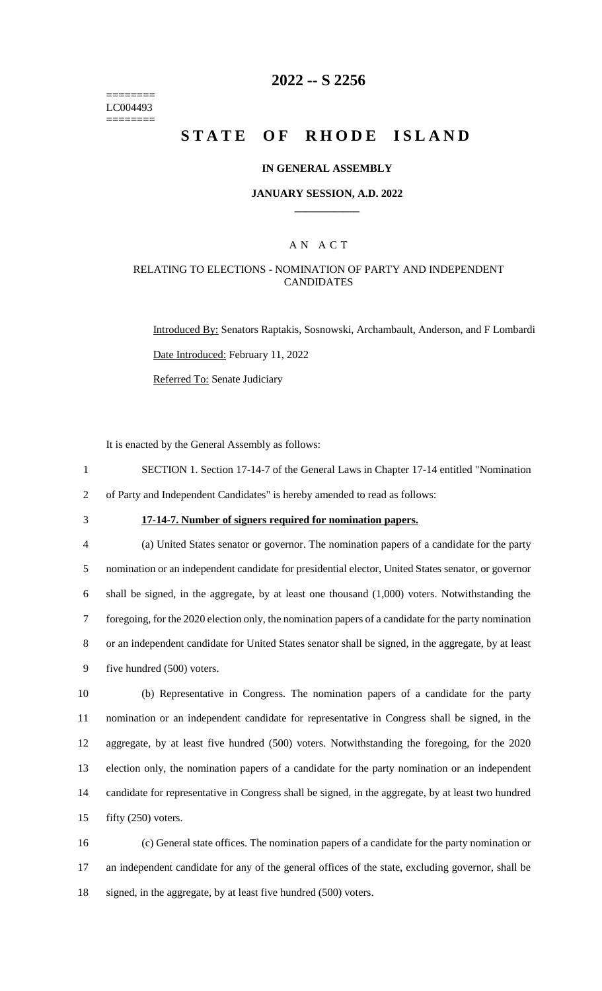======== LC004493 ========

# **2022 -- S 2256**

# **STATE OF RHODE ISLAND**

### **IN GENERAL ASSEMBLY**

#### **JANUARY SESSION, A.D. 2022 \_\_\_\_\_\_\_\_\_\_\_\_**

### A N A C T

### RELATING TO ELECTIONS - NOMINATION OF PARTY AND INDEPENDENT **CANDIDATES**

Introduced By: Senators Raptakis, Sosnowski, Archambault, Anderson, and F Lombardi Date Introduced: February 11, 2022 Referred To: Senate Judiciary

It is enacted by the General Assembly as follows:

1 SECTION 1. Section 17-14-7 of the General Laws in Chapter 17-14 entitled "Nomination 2 of Party and Independent Candidates" is hereby amended to read as follows:

# 3 **17-14-7. Number of signers required for nomination papers.**

 (a) United States senator or governor. The nomination papers of a candidate for the party nomination or an independent candidate for presidential elector, United States senator, or governor shall be signed, in the aggregate, by at least one thousand (1,000) voters. Notwithstanding the foregoing, for the 2020 election only, the nomination papers of a candidate for the party nomination or an independent candidate for United States senator shall be signed, in the aggregate, by at least five hundred (500) voters.

 (b) Representative in Congress. The nomination papers of a candidate for the party nomination or an independent candidate for representative in Congress shall be signed, in the aggregate, by at least five hundred (500) voters. Notwithstanding the foregoing, for the 2020 election only, the nomination papers of a candidate for the party nomination or an independent candidate for representative in Congress shall be signed, in the aggregate, by at least two hundred fifty (250) voters.

16 (c) General state offices. The nomination papers of a candidate for the party nomination or 17 an independent candidate for any of the general offices of the state, excluding governor, shall be 18 signed, in the aggregate, by at least five hundred (500) voters.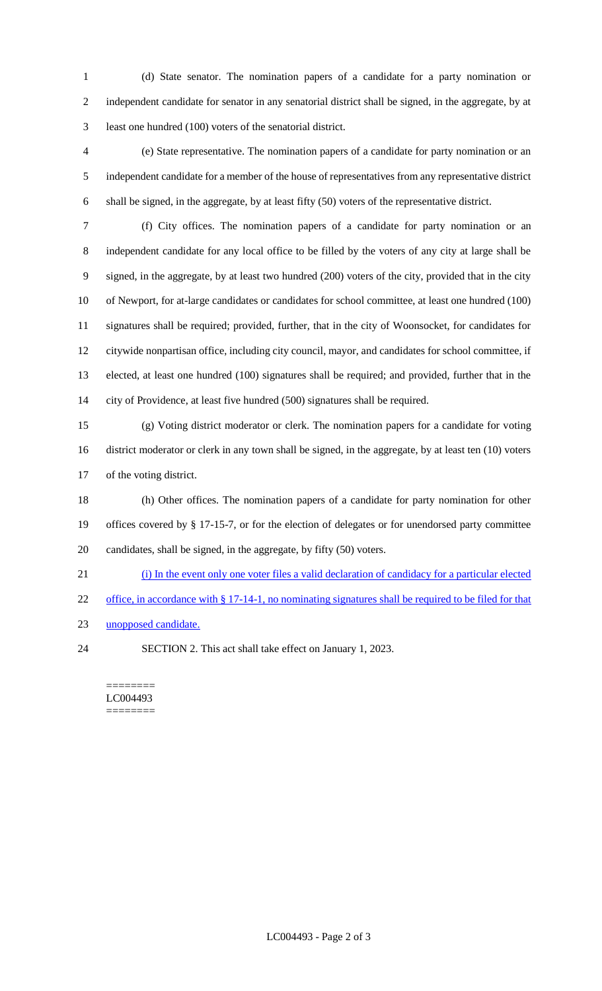(d) State senator. The nomination papers of a candidate for a party nomination or independent candidate for senator in any senatorial district shall be signed, in the aggregate, by at least one hundred (100) voters of the senatorial district.

 (e) State representative. The nomination papers of a candidate for party nomination or an independent candidate for a member of the house of representatives from any representative district shall be signed, in the aggregate, by at least fifty (50) voters of the representative district.

 (f) City offices. The nomination papers of a candidate for party nomination or an independent candidate for any local office to be filled by the voters of any city at large shall be signed, in the aggregate, by at least two hundred (200) voters of the city, provided that in the city of Newport, for at-large candidates or candidates for school committee, at least one hundred (100) signatures shall be required; provided, further, that in the city of Woonsocket, for candidates for citywide nonpartisan office, including city council, mayor, and candidates for school committee, if elected, at least one hundred (100) signatures shall be required; and provided, further that in the city of Providence, at least five hundred (500) signatures shall be required.

 (g) Voting district moderator or clerk. The nomination papers for a candidate for voting district moderator or clerk in any town shall be signed, in the aggregate, by at least ten (10) voters of the voting district.

 (h) Other offices. The nomination papers of a candidate for party nomination for other offices covered by § 17-15-7, or for the election of delegates or for unendorsed party committee candidates, shall be signed, in the aggregate, by fifty (50) voters.

(i) In the event only one voter files a valid declaration of candidacy for a particular elected

22 office, in accordance with § 17-14-1, no nominating signatures shall be required to be filed for that

- unopposed candidate.
- SECTION 2. This act shall take effect on January 1, 2023.

======== LC004493 ========